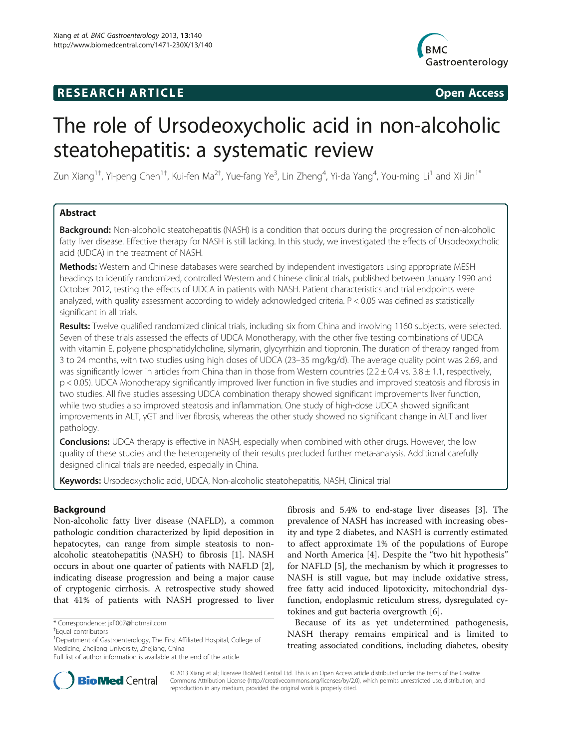# **RESEARCH ARTICLE Example 2014 CONSIDERING CONSIDERING CONSIDERING CONSIDERING CONSIDERING CONSIDERING CONSIDERING CONSIDERING CONSIDERING CONSIDERING CONSIDERING CONSIDERING CONSIDERING CONSIDERING CONSIDERING CONSIDE**



# The role of Ursodeoxycholic acid in non-alcoholic steatohepatitis: a systematic review

Zun Xiang $^{1\dagger}$ , Yi-peng Chen $^{1\dagger}$ , Kui-fen Ma $^{2\dagger}$ , Yue-fang Ye $^3$ , Lin Zheng $^4$ , Yi-da Yang $^4$ , You-ming Li $^1$  and Xi Jin $^{1*}$ 

# Abstract

Background: Non-alcoholic steatohepatitis (NASH) is a condition that occurs during the progression of non-alcoholic fatty liver disease. Effective therapy for NASH is still lacking. In this study, we investigated the effects of Ursodeoxycholic acid (UDCA) in the treatment of NASH.

Methods: Western and Chinese databases were searched by independent investigators using appropriate MESH headings to identify randomized, controlled Western and Chinese clinical trials, published between January 1990 and October 2012, testing the effects of UDCA in patients with NASH. Patient characteristics and trial endpoints were analyzed, with quality assessment according to widely acknowledged criteria. P < 0.05 was defined as statistically significant in all trials.

Results: Twelve qualified randomized clinical trials, including six from China and involving 1160 subjects, were selected. Seven of these trials assessed the effects of UDCA Monotherapy, with the other five testing combinations of UDCA with vitamin E, polyene phosphatidylcholine, silymarin, glycyrrhizin and tiopronin. The duration of therapy ranged from 3 to 24 months, with two studies using high doses of UDCA (23–35 mg/kg/d). The average quality point was 2.69, and was significantly lower in articles from China than in those from Western countries ( $2.2 \pm 0.4$  vs.  $3.8 \pm 1.1$ , respectively, p < 0.05). UDCA Monotherapy significantly improved liver function in five studies and improved steatosis and fibrosis in two studies. All five studies assessing UDCA combination therapy showed significant improvements liver function, while two studies also improved steatosis and inflammation. One study of high-dose UDCA showed significant improvements in ALT, γGT and liver fibrosis, whereas the other study showed no significant change in ALT and liver pathology.

**Conclusions:** UDCA therapy is effective in NASH, especially when combined with other drugs. However, the low quality of these studies and the heterogeneity of their results precluded further meta-analysis. Additional carefully designed clinical trials are needed, especially in China.

Keywords: Ursodeoxycholic acid, UDCA, Non-alcoholic steatohepatitis, NASH, Clinical trial

# Background

Non-alcoholic fatty liver disease (NAFLD), a common pathologic condition characterized by lipid deposition in hepatocytes, can range from simple steatosis to nonalcoholic steatohepatitis (NASH) to fibrosis [[1\]](#page-6-0). NASH occurs in about one quarter of patients with NAFLD [\[2](#page-6-0)], indicating disease progression and being a major cause of cryptogenic cirrhosis. A retrospective study showed that 41% of patients with NASH progressed to liver

\* Correspondence: [jxfl007@hotmail.com](mailto:jxfl007@hotmail.com) †

fibrosis and 5.4% to end-stage liver diseases [[3\]](#page-6-0). The prevalence of NASH has increased with increasing obesity and type 2 diabetes, and NASH is currently estimated to affect approximate 1% of the populations of Europe and North America [\[4\]](#page-6-0). Despite the "two hit hypothesis" for NAFLD [[5\]](#page-6-0), the mechanism by which it progresses to NASH is still vague, but may include oxidative stress, free fatty acid induced lipotoxicity, mitochondrial dysfunction, endoplasmic reticulum stress, dysregulated cytokines and gut bacteria overgrowth [[6\]](#page-6-0).

Because of its as yet undetermined pathogenesis, NASH therapy remains empirical and is limited to treating associated conditions, including diabetes, obesity



© 2013 Xiang et al.; licensee BioMed Central Ltd. This is an Open Access article distributed under the terms of the Creative Commons Attribution License [\(http://creativecommons.org/licenses/by/2.0\)](http://creativecommons.org/licenses/by/2.0), which permits unrestricted use, distribution, and reproduction in any medium, provided the original work is properly cited.

Equal contributors

<sup>&</sup>lt;sup>1</sup>Department of Gastroenterology, The First Affiliated Hospital, College of Medicine, Zhejiang University, Zhejiang, China

Full list of author information is available at the end of the article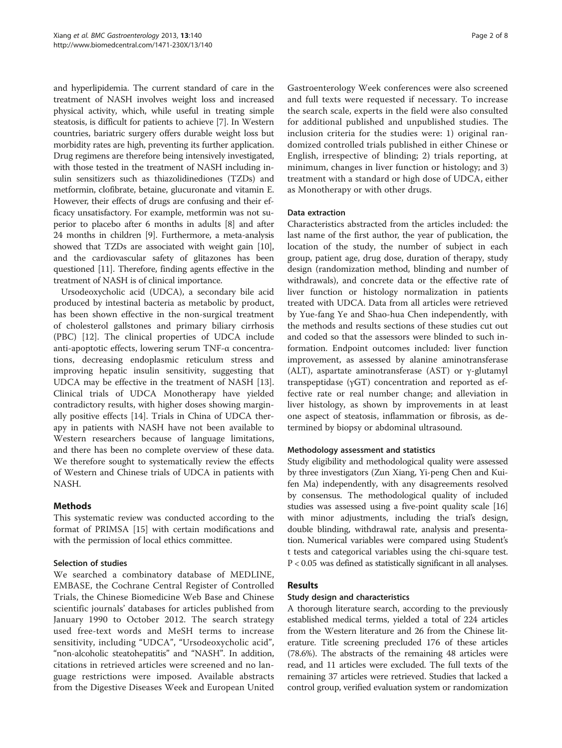and hyperlipidemia. The current standard of care in the treatment of NASH involves weight loss and increased physical activity, which, while useful in treating simple steatosis, is difficult for patients to achieve [\[7](#page-6-0)]. In Western countries, bariatric surgery offers durable weight loss but morbidity rates are high, preventing its further application. Drug regimens are therefore being intensively investigated, with those tested in the treatment of NASH including insulin sensitizers such as thiazolidinediones (TZDs) and metformin, clofibrate, betaine, glucuronate and vitamin E. However, their effects of drugs are confusing and their efficacy unsatisfactory. For example, metformin was not superior to placebo after 6 months in adults [\[8](#page-6-0)] and after 24 months in children [\[9\]](#page-6-0). Furthermore, a meta-analysis showed that TZDs are associated with weight gain [[10](#page-6-0)], and the cardiovascular safety of glitazones has been questioned [[11](#page-6-0)]. Therefore, finding agents effective in the treatment of NASH is of clinical importance.

Ursodeoxycholic acid (UDCA), a secondary bile acid produced by intestinal bacteria as metabolic by product, has been shown effective in the non-surgical treatment of cholesterol gallstones and primary biliary cirrhosis (PBC) [\[12\]](#page-6-0). The clinical properties of UDCA include anti-apoptotic effects, lowering serum TNF-α concentrations, decreasing endoplasmic reticulum stress and improving hepatic insulin sensitivity, suggesting that UDCA may be effective in the treatment of NASH [\[13](#page-6-0)]. Clinical trials of UDCA Monotherapy have yielded contradictory results, with higher doses showing marginally positive effects [[14\]](#page-6-0). Trials in China of UDCA therapy in patients with NASH have not been available to Western researchers because of language limitations, and there has been no complete overview of these data. We therefore sought to systematically review the effects of Western and Chinese trials of UDCA in patients with NASH.

# Methods

This systematic review was conducted according to the format of PRIMSA [\[15\]](#page-6-0) with certain modifications and with the permission of local ethics committee.

# Selection of studies

We searched a combinatory database of MEDLINE, EMBASE, the Cochrane Central Register of Controlled Trials, the Chinese Biomedicine Web Base and Chinese scientific journals' databases for articles published from January 1990 to October 2012. The search strategy used free-text words and MeSH terms to increase sensitivity, including "UDCA", "Ursodeoxycholic acid", "non-alcoholic steatohepatitis" and "NASH". In addition, citations in retrieved articles were screened and no language restrictions were imposed. Available abstracts from the Digestive Diseases Week and European United

Gastroenterology Week conferences were also screened and full texts were requested if necessary. To increase the search scale, experts in the field were also consulted for additional published and unpublished studies. The inclusion criteria for the studies were: 1) original randomized controlled trials published in either Chinese or English, irrespective of blinding; 2) trials reporting, at minimum, changes in liver function or histology; and 3) treatment with a standard or high dose of UDCA, either as Monotherapy or with other drugs.

#### Data extraction

Characteristics abstracted from the articles included: the last name of the first author, the year of publication, the location of the study, the number of subject in each group, patient age, drug dose, duration of therapy, study design (randomization method, blinding and number of withdrawals), and concrete data or the effective rate of liver function or histology normalization in patients treated with UDCA. Data from all articles were retrieved by Yue-fang Ye and Shao-hua Chen independently, with the methods and results sections of these studies cut out and coded so that the assessors were blinded to such information. Endpoint outcomes included: liver function improvement, as assessed by alanine aminotransferase (ALT), aspartate aminotransferase (AST) or γ-glutamyl transpeptidase (γGT) concentration and reported as effective rate or real number change; and alleviation in liver histology, as shown by improvements in at least one aspect of steatosis, inflammation or fibrosis, as determined by biopsy or abdominal ultrasound.

# Methodology assessment and statistics

Study eligibility and methodological quality were assessed by three investigators (Zun Xiang, Yi-peng Chen and Kuifen Ma) independently, with any disagreements resolved by consensus. The methodological quality of included studies was assessed using a five-point quality scale [[16](#page-6-0)] with minor adjustments, including the trial's design, double blinding, withdrawal rate, analysis and presentation. Numerical variables were compared using Student's t tests and categorical variables using the chi-square test. P < 0.05 was defined as statistically significant in all analyses.

# Results

#### Study design and characteristics

A thorough literature search, according to the previously established medical terms, yielded a total of 224 articles from the Western literature and 26 from the Chinese literature. Title screening precluded 176 of these articles (78.6%). The abstracts of the remaining 48 articles were read, and 11 articles were excluded. The full texts of the remaining 37 articles were retrieved. Studies that lacked a control group, verified evaluation system or randomization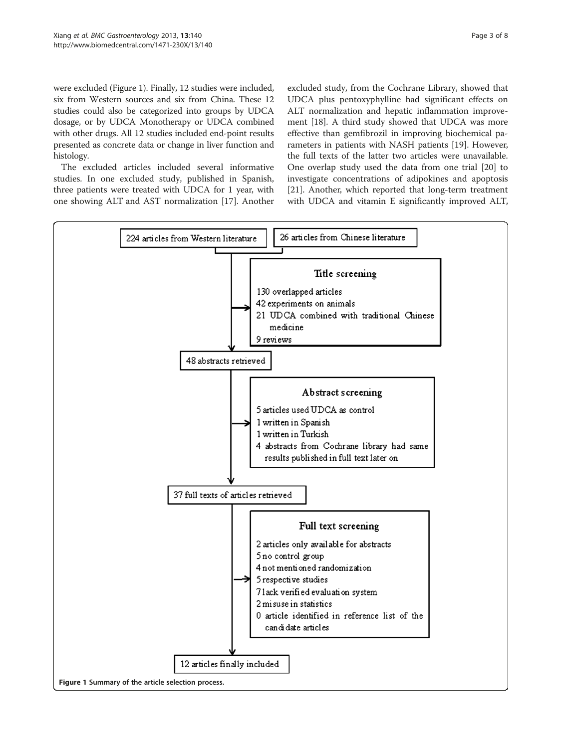were excluded (Figure 1). Finally, 12 studies were included, six from Western sources and six from China. These 12 studies could also be categorized into groups by UDCA dosage, or by UDCA Monotherapy or UDCA combined with other drugs. All 12 studies included end-point results presented as concrete data or change in liver function and histology.

The excluded articles included several informative studies. In one excluded study, published in Spanish, three patients were treated with UDCA for 1 year, with one showing ALT and AST normalization [[17\]](#page-6-0). Another

excluded study, from the Cochrane Library, showed that UDCA plus pentoxyphylline had significant effects on ALT normalization and hepatic inflammation improvement [[18\]](#page-6-0). A third study showed that UDCA was more effective than gemfibrozil in improving biochemical parameters in patients with NASH patients [[19\]](#page-6-0). However, the full texts of the latter two articles were unavailable. One overlap study used the data from one trial [\[20](#page-6-0)] to investigate concentrations of adipokines and apoptosis [[21\]](#page-6-0). Another, which reported that long-term treatment with UDCA and vitamin E significantly improved ALT,

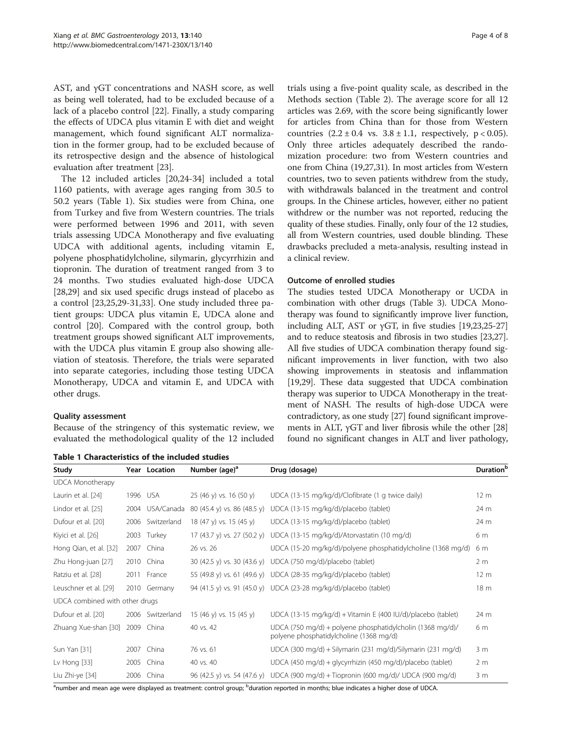AST, and γGT concentrations and NASH score, as well as being well tolerated, had to be excluded because of a lack of a placebo control [\[22\]](#page-6-0). Finally, a study comparing the effects of UDCA plus vitamin E with diet and weight management, which found significant ALT normalization in the former group, had to be excluded because of its retrospective design and the absence of histological evaluation after treatment [\[23\]](#page-6-0).

The 12 included articles [[20,24-34\]](#page-6-0) included a total 1160 patients, with average ages ranging from 30.5 to 50.2 years (Table 1). Six studies were from China, one from Turkey and five from Western countries. The trials were performed between 1996 and 2011, with seven trials assessing UDCA Monotherapy and five evaluating UDCA with additional agents, including vitamin E, polyene phosphatidylcholine, silymarin, glycyrrhizin and tiopronin. The duration of treatment ranged from 3 to 24 months. Two studies evaluated high-dose UDCA [[28,29\]](#page-6-0) and six used specific drugs instead of placebo as a control [[23,25,29](#page-6-0)-[31,33\]](#page-6-0). One study included three patient groups: UDCA plus vitamin E, UDCA alone and control [[20\]](#page-6-0). Compared with the control group, both treatment groups showed significant ALT improvements, with the UDCA plus vitamin E group also showing alleviation of steatosis. Therefore, the trials were separated into separate categories, including those testing UDCA Monotherapy, UDCA and vitamin E, and UDCA with other drugs.

#### Quality assessment

Because of the stringency of this systematic review, we evaluated the methodological quality of the 12 included

Table 1 Characteristics of the included studies

trials using a five-point quality scale, as described in the Methods section (Table [2](#page-4-0)). The average score for all 12 articles was 2.69, with the score being significantly lower for articles from China than for those from Western countries  $(2.2 \pm 0.4 \text{ vs. } 3.8 \pm 1.1, \text{ respectively, } p < 0.05)$ . Only three articles adequately described the randomization procedure: two from Western countries and one from China (19,27,31). In most articles from Western countries, two to seven patients withdrew from the study, with withdrawals balanced in the treatment and control groups. In the Chinese articles, however, either no patient withdrew or the number was not reported, reducing the quality of these studies. Finally, only four of the 12 studies, all from Western countries, used double blinding. These drawbacks precluded a meta-analysis, resulting instead in a clinical review.

#### Outcome of enrolled studies

The studies tested UDCA Monotherapy or UCDA in combination with other drugs (Table [3](#page-4-0)). UDCA Monotherapy was found to significantly improve liver function, including ALT, AST or  $\gamma$ GT, in five studies [\[19,23,25](#page-6-0)-[27](#page-6-0)] and to reduce steatosis and fibrosis in two studies [\[23,27](#page-6-0)]. All five studies of UDCA combination therapy found significant improvements in liver function, with two also showing improvements in steatosis and inflammation [[19,29](#page-6-0)]. These data suggested that UDCA combination therapy was superior to UDCA Monotherapy in the treatment of NASH. The results of high-dose UDCA were contradictory, as one study [[27](#page-6-0)] found significant improvements in ALT,  $\gamma$ GT and liver fibrosis while the other [[28](#page-6-0)] found no significant changes in ALT and liver pathology,

| Study                          |      | Year Location    | Number (age) <sup>a</sup>   | Drug (dosage)                                                                                        | <b>Duration</b> <sup>b</sup> |
|--------------------------------|------|------------------|-----------------------------|------------------------------------------------------------------------------------------------------|------------------------------|
| <b>UDCA Monotherapy</b>        |      |                  |                             |                                                                                                      |                              |
| Laurin et al. [24]             |      | 1996 USA         | 25 (46 y) vs. 16 (50 y)     | UDCA (13-15 mg/kg/d)/Clofibrate (1 g twice daily)                                                    | 12 <sub>m</sub>              |
| Lindor et al. [25]             |      | 2004 USA/Canada  | 80 (45.4 y) vs. 86 (48.5 y) | UDCA (13-15 mg/kg/d)/placebo (tablet)                                                                | 24 m                         |
| Dufour et al. [20]             |      | 2006 Switzerland | 18 (47 y) vs. 15 (45 y)     | UDCA (13-15 mg/kg/d)/placebo (tablet)                                                                | 24 m                         |
| Kiyici et al. [26]             |      | 2003 Turkey      | 17 (43.7 y) vs. 27 (50.2 y) | UDCA (13-15 mg/kg/d)/Atorvastatin (10 mg/d)                                                          | 6 m                          |
| Hong Qian, et al. [32]         | 2007 | China            | 26 vs. 26                   | UDCA (15-20 mg/kg/d)/polyene phosphatidylcholine (1368 mg/d)                                         | 6 m                          |
| Zhu Hong-juan [27]             |      | 2010 China       |                             | 30 (42.5 y) vs. 30 (43.6 y) UDCA (750 mg/d)/placebo (tablet)                                         | 2 <sub>m</sub>               |
| Ratziu et al. [28]             |      | 2011 France      |                             | 55 (49.8 y) vs. 61 (49.6 y) UDCA (28-35 mg/kg/d)/placebo (tablet)                                    | 12 <sub>m</sub>              |
| Leuschner et al. [29]          |      | 2010 Germany     |                             | 94 (41.5 y) vs. 91 (45.0 y) UDCA (23-28 mg/kg/d)/placebo (tablet)                                    | 18 <sub>m</sub>              |
| UDCA combined with other drugs |      |                  |                             |                                                                                                      |                              |
| Dufour et al. [20]             |      | 2006 Switzerland | 15 (46 y) vs. 15 (45 y)     | UDCA (13-15 mg/kg/d) + Vitamin E (400 IU/d)/placebo (tablet)                                         | 24 m                         |
| Zhuang Xue-shan [30]           |      | 2009 China       | 40 vs. 42                   | UDCA (750 mg/d) + polyene phosphatidylcholin (1368 mg/d)/<br>polyene phosphatidylcholine (1368 mg/d) | 6 m                          |
| Sun Yan [31]                   | 2007 | China            | 76 vs. 61                   | UDCA (300 mg/d) + Silymarin (231 mg/d)/Silymarin (231 mg/d)                                          | 3 <sub>m</sub>               |
| Lv Hong [33]                   | 2005 | China            | 40 vs. 40                   | UDCA (450 mg/d) + glycyrrhizin (450 mg/d)/placebo (tablet)                                           | 2 <sub>m</sub>               |
| Liu Zhi-ye [34]                | 2006 | China            | 96 (42.5 y) vs. 54 (47.6 y) | UDCA (900 mg/d) + Tiopronin (600 mg/d)/ UDCA (900 mg/d)                                              | 3 <sub>m</sub>               |

<sup>a</sup>number and mean age were displayed as treatment: control group; <sup>b</sup>duration reported in months; blue indicates a higher dose of UDCA.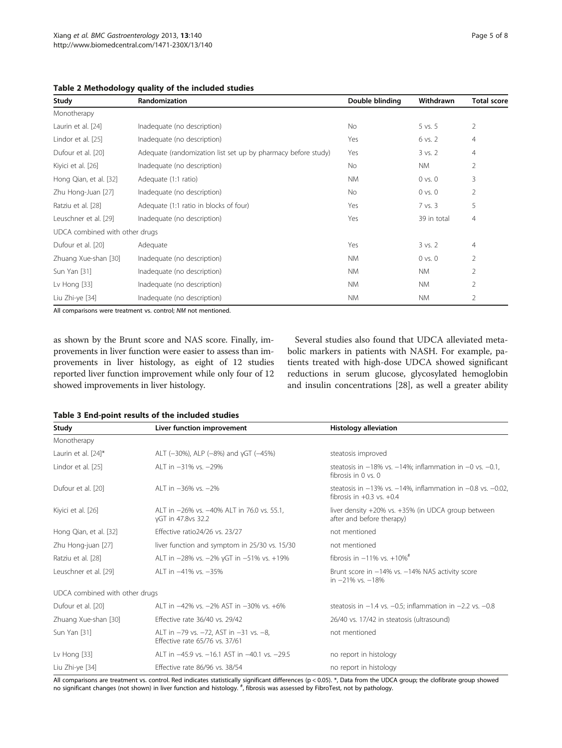<span id="page-4-0"></span>

| Table 2 Methodology quality of the included studies |  |  |  |
|-----------------------------------------------------|--|--|--|
|-----------------------------------------------------|--|--|--|

| Study                          | <b>Randomization</b>                                          | Double blinding | Withdrawn   | <b>Total score</b> |
|--------------------------------|---------------------------------------------------------------|-----------------|-------------|--------------------|
| Monotherapy                    |                                                               |                 |             |                    |
| Laurin et al. [24]             | Inadequate (no description)                                   | No              | $5$ vs. $5$ | $\overline{2}$     |
| Lindor et al. [25]             | Inadequate (no description)                                   | Yes             | 6 vs. 2     | $\overline{4}$     |
| Dufour et al. [20]             | Adequate (randomization list set up by pharmacy before study) | Yes             | $3$ vs. $2$ | $\overline{4}$     |
| Kiyici et al. [26]             | Inadequate (no description)                                   | No              | NM.         | 2                  |
| Hong Qian, et al. [32]         | Adequate (1:1 ratio)                                          | NM.             | $0$ vs. $0$ | 3                  |
| Zhu Hong-Juan [27]             | Inadequate (no description)                                   | <b>No</b>       | $0$ vs. $0$ | $\overline{2}$     |
| Ratziu et al. [28]             | Adequate (1:1 ratio in blocks of four)                        | Yes             | 7 vs. 3     | 5                  |
| Leuschner et al. [29]          | Inadequate (no description)                                   | Yes             | 39 in total | 4                  |
| UDCA combined with other drugs |                                                               |                 |             |                    |
| Dufour et al. [20]             | Adequate                                                      | Yes             | $3$ vs. $2$ | $\overline{4}$     |
| Zhuang Xue-shan [30]           | Inadequate (no description)                                   | NM.             | $0$ vs. $0$ | 2                  |
| Sun Yan [31]                   | Inadequate (no description)                                   | <b>NM</b>       | <b>NM</b>   | 2                  |
| Lv Hong $[33]$                 | Inadequate (no description)                                   | NM.             | NM.         | $\overline{2}$     |
| Liu Zhi-ye [34]                | Inadequate (no description)                                   | <b>NM</b>       | <b>NM</b>   | $\overline{2}$     |

All comparisons were treatment vs. control; NM not mentioned.

as shown by the Brunt score and NAS score. Finally, improvements in liver function were easier to assess than improvements in liver histology, as eight of 12 studies reported liver function improvement while only four of 12 showed improvements in liver histology.

Several studies also found that UDCA alleviated metabolic markers in patients with NASH. For example, patients treated with high-dose UDCA showed significant reductions in serum glucose, glycosylated hemoglobin and insulin concentrations [\[28](#page-6-0)], as well a greater ability

| Study                          | Liver function improvement                                               | <b>Histology alleviation</b>                                                                             |  |  |
|--------------------------------|--------------------------------------------------------------------------|----------------------------------------------------------------------------------------------------------|--|--|
| Monotherapy                    |                                                                          |                                                                                                          |  |  |
| Laurin et al. [24]*            | ALT ( $-30\%$ ), ALP ( $-8\%$ ) and yGT ( $-45\%$ )                      | steatosis improved                                                                                       |  |  |
| Lindor et al. [25]             | ALT in -31% vs. -29%                                                     | steatosis in $-18\%$ vs. $-14\%$ ; inflammation in $-0$ vs. $-0.1$ .<br>fibrosis in $0 \text{ vs. } 0$   |  |  |
| Dufour et al. [20]             | AI T in $-36\%$ vs. $-2\%$                                               | steatosis in $-13\%$ vs. $-14\%$ , inflammation in $-0.8$ vs. $-0.02$ ,<br>fibrosis in $+0.3$ vs. $+0.4$ |  |  |
| Kivici et al. [26]             | ALT in -26% vs. -40% ALT in 76.0 vs. 55.1,<br>yGT in 47.8vs 32.2         | liver density +20% vs. +35% (in UDCA group between<br>after and before therapy)                          |  |  |
| Hong Qian, et al. [32]         | Effective ratio24/26 vs. 23/27                                           | not mentioned                                                                                            |  |  |
| Zhu Hong-juan [27]             | liver function and symptom in 25/30 vs. 15/30                            | not mentioned                                                                                            |  |  |
| Ratziu et al. [28]             | ALT in -28% vs. -2% yGT in -51% vs. +19%                                 | fibrosis in $-11\%$ vs. $+10\%$ <sup>#</sup>                                                             |  |  |
| Leuschner et al. [29]          | AI T in -41% vs. -35%                                                    | Brunt score in $-14\%$ vs. $-14\%$ NAS activity score<br>in $-21\%$ vs. $-18\%$                          |  |  |
| UDCA combined with other drugs |                                                                          |                                                                                                          |  |  |
| Dufour et al. [20]             | ALT in -42% vs. -2% AST in -30% vs. +6%                                  | steatosis in $-1.4$ vs. $-0.5$ ; inflammation in $-2.2$ vs. $-0.8$                                       |  |  |
| Zhuang Xue-shan [30]           | Effective rate 36/40 vs. 29/42                                           | 26/40 vs. 17/42 in steatosis (ultrasound)                                                                |  |  |
| Sun Yan [31]                   | ALT in -79 vs. -72, AST in -31 vs. -8,<br>Effective rate 65/76 vs. 37/61 | not mentioned                                                                                            |  |  |
| Lv Hong $[33]$                 | ALT in -45.9 vs. -16.1 AST in -40.1 vs. -29.5                            | no report in histology                                                                                   |  |  |
| Liu Zhi-ye [34]                | Effective rate 86/96 vs. 38/54                                           | no report in histology                                                                                   |  |  |

All comparisons are treatment vs. control. Red indicates statistically significant differences (p < 0.05). \*, Data from the UDCA group; the clofibrate group showed no significant changes (not shown) in liver function and histology. <sup>#</sup>, fibrosis was assessed by FibroTest, not by pathology.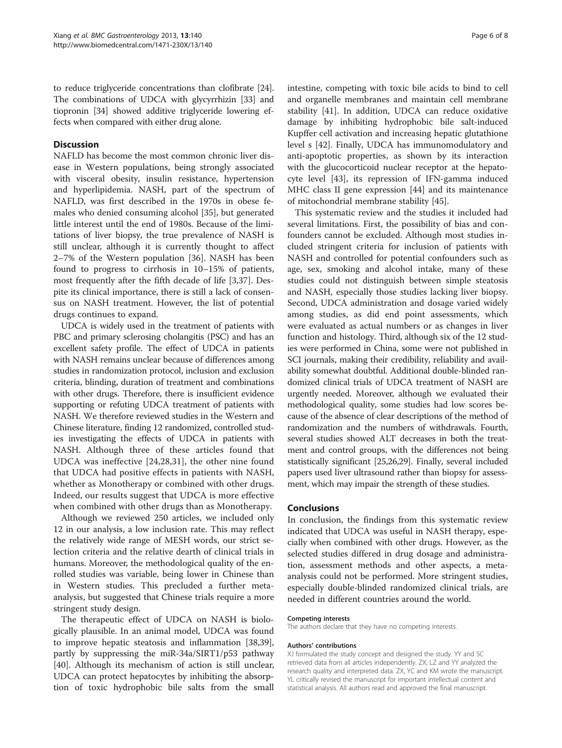to reduce triglyceride concentrations than clofibrate [[24](#page-6-0)]. The combinations of UDCA with glycyrrhizin [\[33\]](#page-6-0) and tiopronin [\[34\]](#page-6-0) showed additive triglyceride lowering effects when compared with either drug alone.

### **Discussion**

NAFLD has become the most common chronic liver disease in Western populations, being strongly associated with visceral obesity, insulin resistance, hypertension and hyperlipidemia. NASH, part of the spectrum of NAFLD, was first described in the 1970s in obese females who denied consuming alcohol [\[35](#page-6-0)], but generated little interest until the end of 1980s. Because of the limitations of liver biopsy, the true prevalence of NASH is still unclear, although it is currently thought to affect 2–7% of the Western population [[36\]](#page-6-0). NASH has been found to progress to cirrhosis in 10–15% of patients, most frequently after the fifth decade of life [[3,37\]](#page-6-0). Despite its clinical importance, there is still a lack of consensus on NASH treatment. However, the list of potential drugs continues to expand.

UDCA is widely used in the treatment of patients with PBC and primary sclerosing cholangitis (PSC) and has an excellent safety profile. The effect of UDCA in patients with NASH remains unclear because of differences among studies in randomization protocol, inclusion and exclusion criteria, blinding, duration of treatment and combinations with other drugs. Therefore, there is insufficient evidence supporting or refuting UDCA treatment of patients with NASH. We therefore reviewed studies in the Western and Chinese literature, finding 12 randomized, controlled studies investigating the effects of UDCA in patients with NASH. Although three of these articles found that UDCA was ineffective [[24,28,31](#page-6-0)], the other nine found that UDCA had positive effects in patients with NASH, whether as Monotherapy or combined with other drugs. Indeed, our results suggest that UDCA is more effective when combined with other drugs than as Monotherapy.

Although we reviewed 250 articles, we included only 12 in our analysis, a low inclusion rate. This may reflect the relatively wide range of MESH words, our strict selection criteria and the relative dearth of clinical trials in humans. Moreover, the methodological quality of the enrolled studies was variable, being lower in Chinese than in Western studies. This precluded a further metaanalysis, but suggested that Chinese trials require a more stringent study design.

The therapeutic effect of UDCA on NASH is biologically plausible. In an animal model, UDCA was found to improve hepatic steatosis and inflammation [\[38,39](#page-6-0)], partly by suppressing the miR-34a/SIRT1/p53 pathway [[40\]](#page-7-0). Although its mechanism of action is still unclear, UDCA can protect hepatocytes by inhibiting the absorption of toxic hydrophobic bile salts from the small intestine, competing with toxic bile acids to bind to cell and organelle membranes and maintain cell membrane stability [\[41](#page-7-0)]. In addition, UDCA can reduce oxidative damage by inhibiting hydrophobic bile salt-induced Kupffer cell activation and increasing hepatic glutathione level s [\[42](#page-7-0)]. Finally, UDCA has immunomodulatory and anti-apoptotic properties, as shown by its interaction with the glucocorticoid nuclear receptor at the hepatocyte level [[43\]](#page-7-0), its repression of IFN-gamma induced MHC class II gene expression [[44](#page-7-0)] and its maintenance of mitochondrial membrane stability [[45\]](#page-7-0).

This systematic review and the studies it included had several limitations. First, the possibility of bias and confounders cannot be excluded. Although most studies included stringent criteria for inclusion of patients with NASH and controlled for potential confounders such as age, sex, smoking and alcohol intake, many of these studies could not distinguish between simple steatosis and NASH, especially those studies lacking liver biopsy. Second, UDCA administration and dosage varied widely among studies, as did end point assessments, which were evaluated as actual numbers or as changes in liver function and histology. Third, although six of the 12 studies were performed in China, some were not published in SCI journals, making their credibility, reliability and availability somewhat doubtful. Additional double-blinded randomized clinical trials of UDCA treatment of NASH are urgently needed. Moreover, although we evaluated their methodological quality, some studies had low scores because of the absence of clear descriptions of the method of randomization and the numbers of withdrawals. Fourth, several studies showed ALT decreases in both the treatment and control groups, with the differences not being statistically significant [[25,26,29\]](#page-6-0). Finally, several included papers used liver ultrasound rather than biopsy for assessment, which may impair the strength of these studies.

#### Conclusions

In conclusion, the findings from this systematic review indicated that UDCA was useful in NASH therapy, especially when combined with other drugs. However, as the selected studies differed in drug dosage and administration, assessment methods and other aspects, a metaanalysis could not be performed. More stringent studies, especially double-blinded randomized clinical trials, are needed in different countries around the world.

#### Competing interests

The authors declare that they have no competing interests.

#### Authors' contributions

XJ formulated the study concept and designed the study. YY and SC retrieved data from all articles independently. ZX, LZ and YY analyzed the research quality and interpreted data. ZX, YC and KM wrote the manuscript. YL critically revised the manuscript for important intellectual content and statistical analysis. All authors read and approved the final manuscript.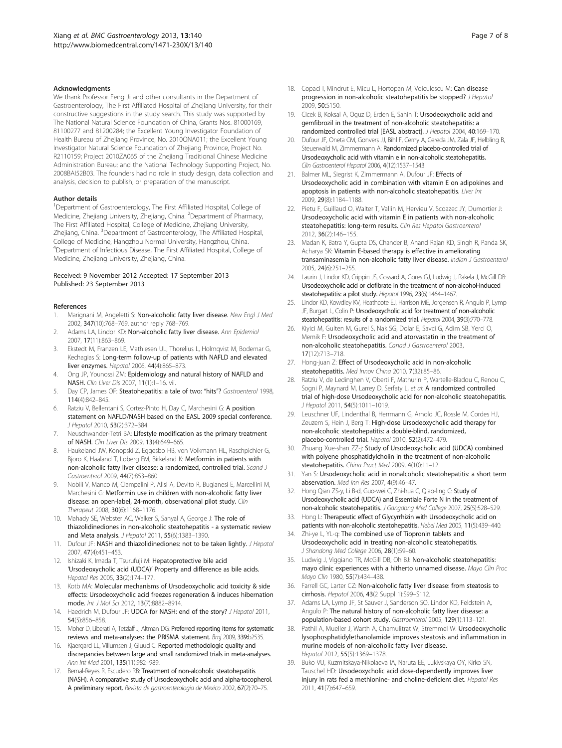#### <span id="page-6-0"></span>Acknowledgments

We thank Professor Feng Ji and other consultants in the Department of Gastroenterology, The First Affiliated Hospital of Zhejiang University, for their constructive suggestions in the study search. This study was supported by The National Natural Science Foundation of China, Grants Nos. 81000169, 81100277 and 81200284; the Excellent Young Investigator Foundation of Health Bureau of Zhejiang Province, No. 2010QNA011; the Excellent Young Investigator Natural Science Foundation of Zhejiang Province, Project No. R2110159; Project 2010ZA065 of the Zhejiang Traditional Chinese Medicine Administration Bureau; and the National Technology Supporting Project, No. 2008BAI52B03. The founders had no role in study design, data collection and analysis, decision to publish, or preparation of the manuscript.

#### Author details

<sup>1</sup>Department of Gastroenterology, The First Affiliated Hospital, College of Medicine, Zhejiang University, Zhejiang, China. <sup>2</sup>Department of Pharmacy, The First Affiliated Hospital, College of Medicine, Zhejiang University, Zhejiang, China. <sup>3</sup>Department of Gastroenterology, The Affiliated Hospital, College of Medicine, Hangzhou Normal University, Hangzhou, China. <sup>4</sup>Department of Infectious Disease, The First Affiliated Hospital, College of Medicine, Zhejiang University, Zhejiang, China.

#### Received: 9 November 2012 Accepted: 17 September 2013 Published: 23 September 2013

#### References

- 1. Marignani M, Angeletti S: Non-alcoholic fatty liver disease. New Fnal J Med 2002, 347(10):768–769. author reply 768–769.
- Adams LA, Lindor KD: Non-alcoholic fatty liver disease. Ann Epidemiol 2007, 17(11):863–869.
- 3. Ekstedt M, Franzen LE, Mathiesen UL, Thorelius L, Holmqvist M, Bodemar G, Kechagias S: Long-term follow-up of patients with NAFLD and elevated liver enzymes. Hepatol 2006, 44(4):865–873.
- 4. Ong JP, Younossi ZM: Epidemiology and natural history of NAFLD and NASH. Clin Liver Dis 2007, 11(1):1–16. vii.
- 5. Day CP, James OF: Steatohepatitis: a tale of two: "hits"? Gastroenterol 1998, 114(4):842–845.
- 6. Ratziu V, Bellentani S, Cortez-Pinto H, Day C, Marchesini G: A position statement on NAFLD/NASH based on the EASL 2009 special conference. J Hepatol 2010, 53(2):372–384.
- Neuschwander-Tetri BA: Lifestyle modification as the primary treatment of NASH. Clin Liver Dis 2009, 13(4):649–665.
- 8. Haukeland JW, Konopski Z, Eggesbo HB, von Volkmann HL, Raschpichler G, Bjoro K, Haaland T, Loberg EM, Birkeland K: Metformin in patients with non-alcoholic fatty liver disease: a randomized, controlled trial. Scand J Gastroenterol 2009, 44(7):853–860.
- 9. Nobili V, Manco M, Ciampalini P, Alisi A, Devito R, Bugianesi E, Marcellini M, Marchesini G: Metformin use in children with non-alcoholic fatty liver disease: an open-label, 24-month, observational pilot study. Clin Therapeut 2008, 30(6):1168–1176.
- 10. Mahady SE, Webster AC, Walker S, Sanyal A, George J: The role of thiazolidinediones in non-alcoholic steatohepatitis - a systematic review and Meta analysis. J Hepatol 2011, 55(6):1383–1390.
- 11. Dufour JF: NASH and thiazolidinediones: not to be taken lightly. J Hepatol 2007, 47(4):451–453.
- 12. Ishizaki K, Imada T, Tsurufuji M: Hepatoprotective bile acid 'Ursodeoxycholic acid (UDCA)' Property and difference as bile acids. Hepatol Res 2005, 33(2):174–177.
- 13. Kotb MA: Molecular mechanisms of Ursodeoxycholic acid toxicity & side effects: Ursodeoxycholic acid freezes regeneration & induces hibernation mode. Int J Mol Sci 2012, 13(7):8882–8914.
- 14. Haedrich M, Dufour JF: UDCA for NASH: end of the story? J Hepatol 2011, 54(5):856–858.
- 15. Moher D, Liberati A, Tetzlaff J, Altman DG: Preferred reporting items for systematic reviews and meta-analyses: the PRISMA statement. Bmj 2009, 339:b2535.
- 16. Kjaergard LL, Villumsen J, Gluud C: Reported methodologic quality and discrepancies between large and small randomized trials in meta-analyses. Ann Int Med 2001, 135(11):982–989.
- 17. Bernal-Reyes R, Escudero RB: Treatment of non-alcoholic steatohepatitis (NASH). A comparative study of Ursodeoxycholic acid and alpha-tocopherol. A preliminary report. Revista de gastroenterologia de Mexico 2002, 67(2):70–75.
- 18. Copaci I, Mindrut E, Micu L, Hortopan M, Voiculescu M: Can disease progression in non-alcoholic steatohepatitis be stopped? J Hepatol 2009, 50:S150.
- 19. Cicek B, Koksal A, Oguz D, Erden E, Sahin T: Ursodeoxycholic acid and gemfibrozil in the treatment of non-alcoholic steatohepatitis: a randomized controlled trial [EASL abstract]. J Hepatol 2004, 40:169–170.
- 20. Dufour JF, Oneta CM, Gonvers JJ, Bihl F, Cerny A, Cereda JM, Zala JF, Helbling B, Steuerwald M, Zimmermann A: Randomized placebo-controlled trial of Ursodeoxycholic acid with vitamin e in non-alcoholic steatohepatitis. Clin Gastroenterol Hepatol 2006, 4(12):1537–1543.
- 21. Balmer ML, Siegrist K, Zimmermann A, Dufour JF: Effects of Ursodeoxycholic acid in combination with vitamin E on adipokines and apoptosis in patients with non-alcoholic steatohepatitis. Liver Int 2009, 29(8):1184–1188.
- 22. Pietu F, Guillaud O, Walter T, Vallin M, Hervieu V, Scoazec JY, Dumortier J: Ursodeoxycholic acid with vitamin E in patients with non-alcoholic steatohepatitis: long-term results. Clin Res Hepatol Gastroenterol 2012, 36(2):146–155.
- 23. Madan K, Batra Y, Gupta DS, Chander B, Anand Rajan KD, Singh R, Panda SK, Acharya SK: Vitamin E-based therapy is effective in ameliorating transaminasemia in non-alcoholic fatty liver disease. Indian J Gastroenterol 2005, 24(6):251–255.
- 24. Laurin J, Lindor KD, Crippin JS, Gossard A, Gores GJ, Ludwig J, Rakela J, McGill DB: Ursodeoxycholic acid or clofibrate in the treatment of non-alcohol-induced steatohepatitis: a pilot study. Hepatol 1996, 23(6):1464–1467.
- 25. Lindor KD, Kowdley KV, Heathcote EJ, Harrison ME, Jorgensen R, Angulo P, Lymp JF, Burgart L, Colin P: Ursodeoxycholic acid for treatment of non-alcoholic steatohepatitis: results of a randomized trial. Hepatol 2004, 39(3):770–778.
- 26. Kiyici M, Gulten M, Gurel S, Nak SG, Dolar E, Savci G, Adim SB, Yerci O, Memik F: Ursodeoxycholic acid and atorvastatin in the treatment of non-alcoholic steatohepatitis. Canad J Gastroenterol 2003, 17(12):713–718.
- 27. Hong-juan Z: Effect of Ursodeoxycholic acid in non-alcoholic steatohepatitis. Med Innov China 2010, 7(32):85–86.
- 28. Ratziu V, de Ledinghen V, Oberti F, Mathurin P, Wartelle-Bladou C, Renou C, Sogni P, Maynard M, Larrey D, Serfaty L, et al: A randomized controlled trial of high-dose Ursodeoxycholic acid for non-alcoholic steatohepatitis. J Hepatol 2011, 54(5):1011–1019.
- 29. Leuschner UF, Lindenthal B, Herrmann G, Arnold JC, Rossle M, Cordes HJ, Zeuzem S, Hein J, Berg T: High-dose Ursodeoxycholic acid therapy for non-alcoholic steatohepatitis: a double-blind, randomized, placebo-controlled trial. Hepatol 2010, 52(2):472–479.
- 30. Zhuang Xue-shan ZZ-j: Study of Ursodeoxycholic acid (UDCA) combined with polyene phosphatidylcholin in the treatment of non-alcoholic steatohepatitis. China Pract Med 2009, 4(10):11-12.
- 31. Yan S: Ursodeoxycholic acid in nonalcoholic steatohepatitis: a short term abservation. Med Inn Res 2007, 4(9):46–47.
- 32. Hong Qian ZS-y, Li B-d, Guo-wei C, Zhi-hua C, Qiao-ling C: Study of Ursodeoxycholic acid (UDCA) and Essentiale Forte N in the treatment of non-alcoholic steatohepatitis. J Gangdong Med College 2007, 25(5):528–529.
- 33. Hong L: Therapeutic effect of Glycyrrhizin with Ursodeoxycholic acid on patients with non-alcoholic steatohepatitis. Hebei Med 2005, 11(5):439–440.
- 34. Zhi-ye L, YL-q: The combined use of Tiopronin tablets and Ursodeoxycholic acid in treating non-alcoholic steatohepatitis. J Shandong Med College 2006, 28(1):59–60.
- 35. Ludwig J, Viggiano TR, McGill DB, Oh BJ: Non-alcoholic steatohepatitis: mayo clinic experiences with a hitherto unnamed disease. Mayo Clin Proc Mayo Clin 1980, 55(7):434–438.
- 36. Farrell GC, Larter CZ: Non-alcoholic fatty liver disease: from steatosis to cirrhosis. Hepatol 2006, 43(2 Suppl 1):S99–S112.
- 37. Adams LA, Lymp JF, St Sauver J, Sanderson SO, Lindor KD, Feldstein A, Angulo P: The natural history of non-alcoholic fatty liver disease: a population-based cohort study. Gastroenterol 2005, 129(1):113–121.
- Pathil A, Mueller J, Warth A, Chamulitrat W, Stremmel W: Ursodeoxycholic lysophosphatidylethanolamide improves steatosis and inflammation in murine models of non-alcoholic fatty liver disease. Hepatol 2012, 55(5):1369–1378.
- 39. Buko VU, Kuzmitskaya-Nikolaeva IA, Naruta EE, Lukivskaya OY, Kirko SN, Tauschel HD: Ursodeoxycholic acid dose-dependently improves liver injury in rats fed a methionine- and choline-deficient diet. Hepatol Res 2011, 41(7):647–659.